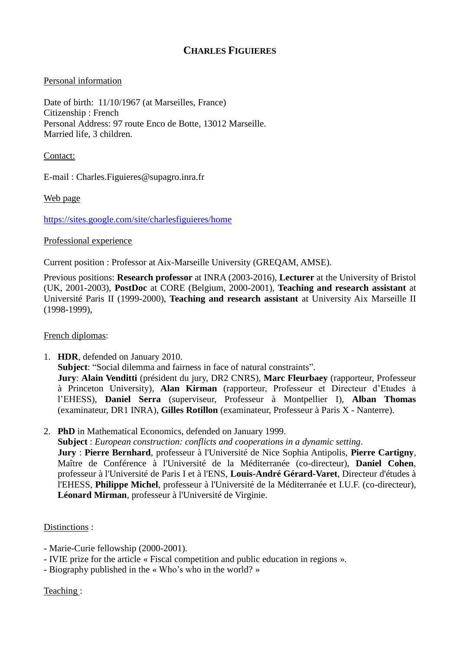## **CHARLES FIGUIERES**

## Personal information

Date of birth:  $11/10/1967$  (at Marseilles, France) Citizenship : French Personal Address: 97 route Enco de Botte, 13012 Marseille. Married life, 3 children.

Contact:

E-mail : Charles.Figuieres@supagro.inra.fr

Web page

<https://sites.google.com/site/charlesfiguieres/home>

## Professional experience

Current position : Professor at Aix-Marseille University (GREQAM, AMSE).

Previous positions: **Research professor** at INRA (2003-2016), **Lecturer** at the University of Bristol (UK, 2001-2003), **PostDoc** at CORE (Belgium, 2000-2001), **Teaching and research assistant** at Université Paris II (1999-2000), **Teaching and research assistant** at University Aix Marseille II (1998-1999),

## French diplomas:

- 1. **HDR**, defended on January 2010. **Subject**: "Social dilemma and fairness in face of natural constraints". **Jury**: **Alain Venditti** (président du jury, DR2 CNRS), **Marc Fleurbaey** (rapporteur, Professeur à Princeton University), **Alan Kirman** (rapporteur, Professeur et Directeur d'Etudes à l'EHESS), **Daniel Serra** (superviseur, Professeur à Montpellier I), **Alban Thomas** (examinateur, DR1 INRA), **Gilles Rotillon** (examinateur, Professeur à Paris X - Nanterre).
- 2. **PhD** in Mathematical Economics, defended on January 1999.

**Subject** : *European construction: conflicts and cooperations in a dynamic setting*.

**Jury** : **Pierre Bernhard**, professeur à l'Université de Nice Sophia Antipolis, **Pierre Cartigny**, Maître de Conférence à l'Université de la Méditerranée (co-directeur), **Daniel Cohen**, professeur à l'Université de Paris I et à l'ENS, **Louis-André Gérard-Varet**, Directeur d'études à l'EHESS, **Philippe Michel**, professeur à l'Université de la Méditerranée et I.U.F. (co-directeur), **Léonard Mirman**, professeur à l'Université de Virginie.

Distinctions :

- Marie-Curie fellowship (2000-2001).
- IVIE prize for the article « Fiscal competition and public education in regions ».
- Biography published in the « Who's who in the world? »

Teaching :